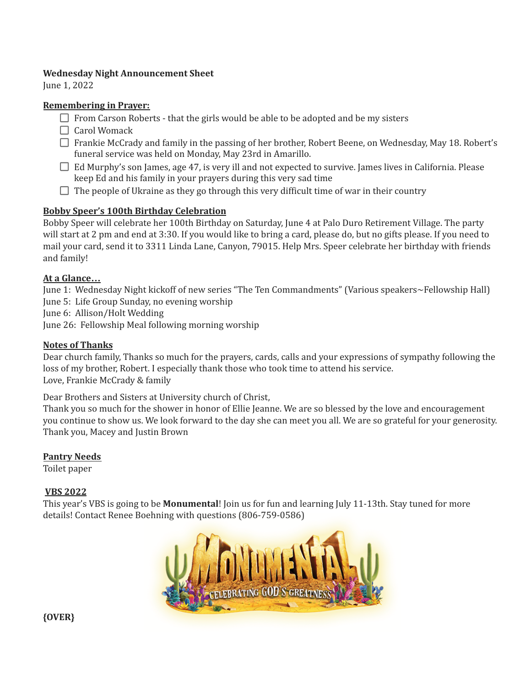#### **Wednesday Night Announcement Sheet**

June 1, 2022

#### **Remembering in Prayer:**

- $\Box$  From Carson Roberts that the girls would be able to be adopted and be my sisters
- $\Box$  Carol Womack
- □ Frankie McCrady and family in the passing of her brother, Robert Beene, on Wednesday, May 18. Robert's funeral service was held on Monday, May 23rd in Amarillo.
- $\Box$  Ed Murphy's son James, age 47, is very ill and not expected to survive. James lives in California. Please keep Ed and his family in your prayers during this very sad time
- $\Box$  The people of Ukraine as they go through this very difficult time of war in their country

# **Bobby Speer's 100th Birthday Celebration**

Bobby Speer will celebrate her 100th Birthday on Saturday, June 4 at Palo Duro Retirement Village. The party will start at 2 pm and end at 3:30. If you would like to bring a card, please do, but no gifts please. If you need to mail your card, send it to 3311 Linda Lane, Canyon, 79015. Help Mrs. Speer celebrate her birthday with friends and family!

# **At a Glance…**

June 1: Wednesday Night kickoff of new series "The Ten Commandments" (Various speakers~Fellowship Hall) June 5: Life Group Sunday, no evening worship

June 6: Allison/Holt Wedding

June 26: Fellowship Meal following morning worship

### **Notes of Thanks**

Dear church family, Thanks so much for the prayers, cards, calls and your expressions of sympathy following the loss of my brother, Robert. I especially thank those who took time to attend his service. Love, Frankie McCrady & family

Dear Brothers and Sisters at University church of Christ,

Thank you so much for the shower in honor of Ellie Jeanne. We are so blessed by the love and encouragement you continue to show us. We look forward to the day she can meet you all. We are so grateful for your generosity. Thank you, Macey and Justin Brown

### **Pantry Needs**

Toilet paper

### **VBS 2022**

This year's VBS is going to be **Monumental**! Join us for fun and learning July 11-13th. Stay tuned for more details! Contact Renee Boehning with questions (806-759-0586)



**{OVER}**